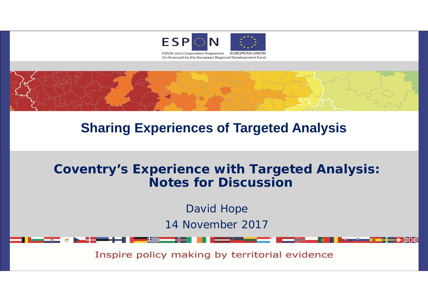



# **Sharing Experiences of Targeted Analysis**

### **Coventry's Experience with Targeted Analysis: Notes for Discussion**

David Hope 14 November 2017

Inspire policy making by territorial evidence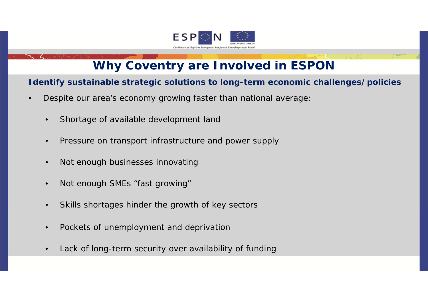

## **Why Coventry are Involved in ESPON**

#### **Identify sustainable strategic solutions to long-term economic challenges/policies**

- • Despite our area's economy growing faster than national average:
	- •Shortage of available development land
	- •Pressure on transport infrastructure and power supply
	- •Not enough businesses innovating
	- •Not enough SMEs "fast growing"
	- •Skills shortages hinder the growth of key sectors
	- •Pockets of unemployment and deprivation
	- •Lack of long-term security over availability of funding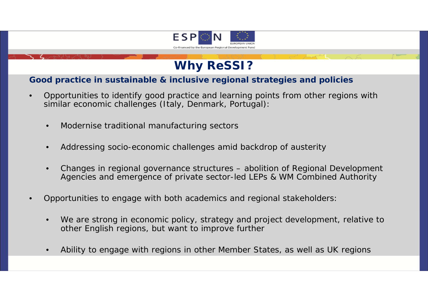

### **Why ReSSI?**

#### **Good practice in sustainable & inclusive regional strategies and policies**

- • Opportunities to identify good practice and learning points from other regions with similar economic challenges (Italy, Denmark, Portugal):
	- •Modernise traditional manufacturing sectors
	- •Addressing socio-economic challenges amid backdrop of austerity
	- • Changes in regional governance structures – abolition of Regional Development Agencies and emergence of private sector-led LEPs & WM Combined Authority
- • Opportunities to engage with both academics and regional stakeholders:
	- •We are strong in economic policy, strategy and project development, relative to other English regions, but want to improve further
	- •Ability to engage with regions in other Member States, as well as UK regions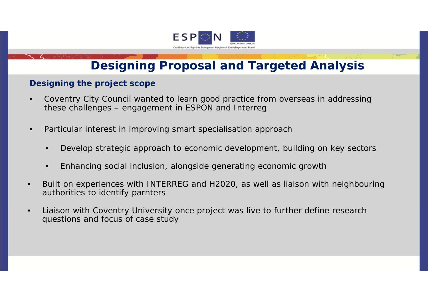

## **Designing Proposal and Targeted Analysis**

#### **Designing the project scope**

- • Coventry City Council wanted to learn good practice from overseas in addressing these challenges – engagement in ESPON and Interreg
- • Particular interest in improving smart specialisation approach
	- $\bullet$ Develop strategic approach to economic development, building on key sectors
	- •Enhancing social inclusion, alongside generating economic growth
- • Built on experiences with INTERREG and H2020, as well as liaison with neighbouring authorities to identify parnters
- • Liaison with Coventry University once project was live to further define research questions and focus of case study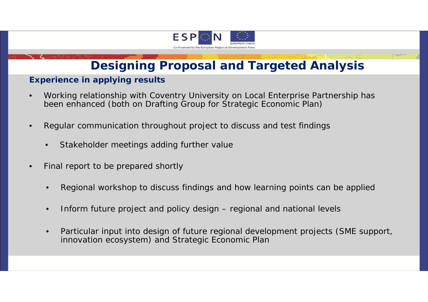

# **Designing Proposal and Targeted Analysis**

#### **Experience in applying results**

- • Working relationship with Coventry University on Local Enterprise Partnership has been enhanced (both on Drafting Group for Strategic Economic Plan)
- • Regular communication throughout project to discuss and test findings
	- •Stakeholder meetings adding further value
- • Final report to be prepared shortly
	- •Regional workshop to discuss findings and how learning points can be applied
	- •Inform future project and policy design – regional and national levels
	- • Particular input into design of future regional development projects (SME support, innovation ecosystem) and Strategic Economic Plan